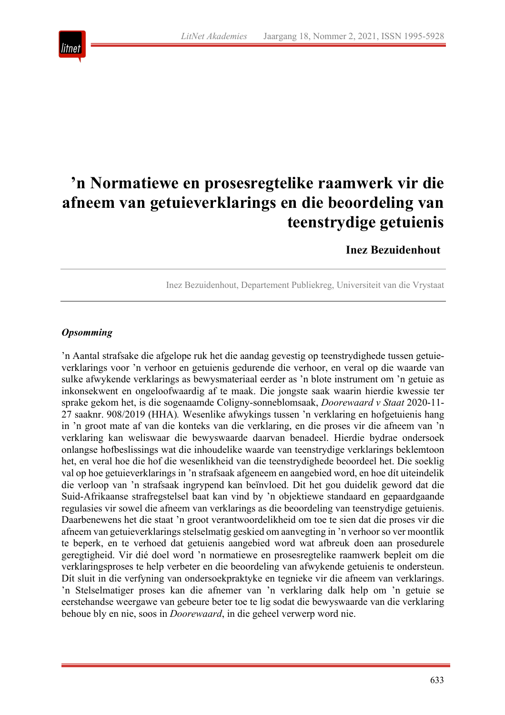

# **'n Normatiewe en prosesregtelike raamwerk vir die afneem van getuieverklarings en die beoordeling van teenstrydige getuienis**

# **Inez Bezuidenhout**

Inez Bezuidenhout, Departement Publiekreg, Universiteit van die Vrystaat

# *Opsomming*

'n Aantal strafsake die afgelope ruk het die aandag gevestig op teenstrydighede tussen getuieverklarings voor 'n verhoor en getuienis gedurende die verhoor, en veral op die waarde van sulke afwykende verklarings as bewysmateriaal eerder as 'n blote instrument om 'n getuie as inkonsekwent en ongeloofwaardig af te maak. Die jongste saak waarin hierdie kwessie ter sprake gekom het, is die sogenaamde Coligny-sonneblomsaak, *Doorewaard v Staat* 2020-11- 27 saaknr. 908/2019 (HHA)*.* Wesenlike afwykings tussen 'n verklaring en hofgetuienis hang in 'n groot mate af van die konteks van die verklaring, en die proses vir die afneem van 'n verklaring kan weliswaar die bewyswaarde daarvan benadeel. Hierdie bydrae ondersoek onlangse hofbeslissings wat die inhoudelike waarde van teenstrydige verklarings beklemtoon het, en veral hoe die hof die wesenlikheid van die teenstrydighede beoordeel het. Die soeklig val op hoe getuieverklarings in 'n strafsaak afgeneem en aangebied word, en hoe dít uiteindelik die verloop van 'n strafsaak ingrypend kan beïnvloed. Dit het gou duidelik geword dat die Suid-Afrikaanse strafregstelsel baat kan vind by 'n objektiewe standaard en gepaardgaande regulasies vir sowel die afneem van verklarings as die beoordeling van teenstrydige getuienis. Daarbenewens het die staat 'n groot verantwoordelikheid om toe te sien dat die proses vir die afneem van getuieverklarings stelselmatig geskied om aanvegting in 'n verhoor so ver moontlik te beperk, en te verhoed dat getuienis aangebied word wat afbreuk doen aan prosedurele geregtigheid. Vir dié doel word 'n normatiewe en prosesregtelike raamwerk bepleit om die verklaringsproses te help verbeter en die beoordeling van afwykende getuienis te ondersteun. Dít sluit in die verfyning van ondersoekpraktyke en tegnieke vir die afneem van verklarings. 'n Stelselmatiger proses kan die afnemer van 'n verklaring dalk help om 'n getuie se eerstehandse weergawe van gebeure beter toe te lig sodat die bewyswaarde van die verklaring behoue bly en nie, soos in *Doorewaard*, in die geheel verwerp word nie.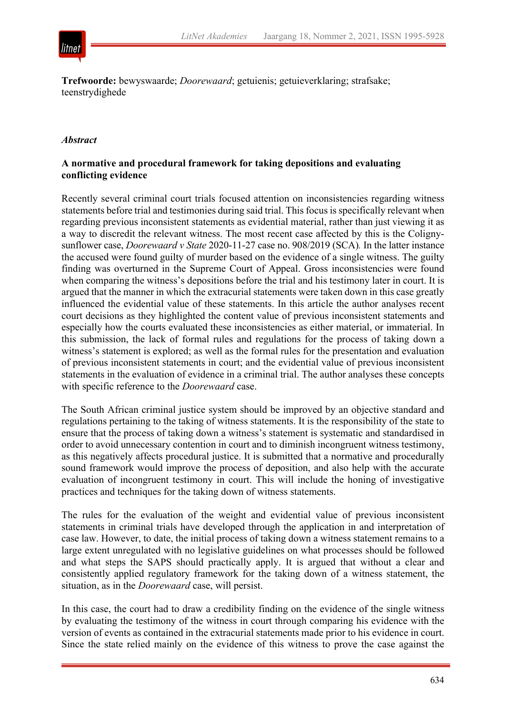

**Trefwoorde:** bewyswaarde; *Doorewaard*; getuienis; getuieverklaring; strafsake; teenstrydighede

#### *Abstract*

#### **A normative and procedural framework for taking depositions and evaluating conflicting evidence**

Recently several criminal court trials focused attention on inconsistencies regarding witness statements before trial and testimonies during said trial. This focus is specifically relevant when regarding previous inconsistent statements as evidential material, rather than just viewing it as a way to discredit the relevant witness. The most recent case affected by this is the Colignysunflower case, *Doorewaard v State* 2020-11-27 case no. 908/2019 (SCA)*.* In the latter instance the accused were found guilty of murder based on the evidence of a single witness. The guilty finding was overturned in the Supreme Court of Appeal. Gross inconsistencies were found when comparing the witness's depositions before the trial and his testimony later in court. It is argued that the manner in which the extracurial statements were taken down in this case greatly influenced the evidential value of these statements. In this article the author analyses recent court decisions as they highlighted the content value of previous inconsistent statements and especially how the courts evaluated these inconsistencies as either material, or immaterial. In this submission, the lack of formal rules and regulations for the process of taking down a witness's statement is explored; as well as the formal rules for the presentation and evaluation of previous inconsistent statements in court; and the evidential value of previous inconsistent statements in the evaluation of evidence in a criminal trial. The author analyses these concepts with specific reference to the *Doorewaard* case.

The South African criminal justice system should be improved by an objective standard and regulations pertaining to the taking of witness statements. It is the responsibility of the state to ensure that the process of taking down a witness's statement is systematic and standardised in order to avoid unnecessary contention in court and to diminish incongruent witness testimony, as this negatively affects procedural justice. It is submitted that a normative and procedurally sound framework would improve the process of deposition, and also help with the accurate evaluation of incongruent testimony in court. This will include the honing of investigative practices and techniques for the taking down of witness statements.

The rules for the evaluation of the weight and evidential value of previous inconsistent statements in criminal trials have developed through the application in and interpretation of case law. However, to date, the initial process of taking down a witness statement remains to a large extent unregulated with no legislative guidelines on what processes should be followed and what steps the SAPS should practically apply. It is argued that without a clear and consistently applied regulatory framework for the taking down of a witness statement, the situation, as in the *Doorewaard* case, will persist.

In this case, the court had to draw a credibility finding on the evidence of the single witness by evaluating the testimony of the witness in court through comparing his evidence with the version of events as contained in the extracurial statements made prior to his evidence in court. Since the state relied mainly on the evidence of this witness to prove the case against the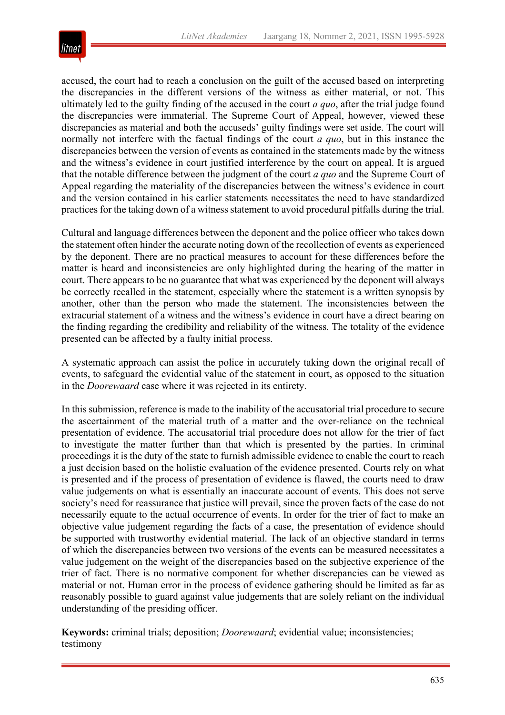

accused, the court had to reach a conclusion on the guilt of the accused based on interpreting the discrepancies in the different versions of the witness as either material, or not. This ultimately led to the guilty finding of the accused in the court *a quo*, after the trial judge found the discrepancies were immaterial. The Supreme Court of Appeal, however, viewed these discrepancies as material and both the accuseds' guilty findings were set aside. The court will normally not interfere with the factual findings of the court *a quo*, but in this instance the discrepancies between the version of events as contained in the statements made by the witness and the witness's evidence in court justified interference by the court on appeal. It is argued that the notable difference between the judgment of the court *a quo* and the Supreme Court of Appeal regarding the materiality of the discrepancies between the witness's evidence in court and the version contained in his earlier statements necessitates the need to have standardized practices for the taking down of a witness statement to avoid procedural pitfalls during the trial.

Cultural and language differences between the deponent and the police officer who takes down the statement often hinder the accurate noting down of the recollection of events as experienced by the deponent. There are no practical measures to account for these differences before the matter is heard and inconsistencies are only highlighted during the hearing of the matter in court. There appears to be no guarantee that what was experienced by the deponent will always be correctly recalled in the statement, especially where the statement is a written synopsis by another, other than the person who made the statement. The inconsistencies between the extracurial statement of a witness and the witness's evidence in court have a direct bearing on the finding regarding the credibility and reliability of the witness. The totality of the evidence presented can be affected by a faulty initial process.

A systematic approach can assist the police in accurately taking down the original recall of events, to safeguard the evidential value of the statement in court, as opposed to the situation in the *Doorewaard* case where it was rejected in its entirety.

In this submission, reference is made to the inability of the accusatorial trial procedure to secure the ascertainment of the material truth of a matter and the over-reliance on the technical presentation of evidence. The accusatorial trial procedure does not allow for the trier of fact to investigate the matter further than that which is presented by the parties. In criminal proceedings it is the duty of the state to furnish admissible evidence to enable the court to reach a just decision based on the holistic evaluation of the evidence presented. Courts rely on what is presented and if the process of presentation of evidence is flawed, the courts need to draw value judgements on what is essentially an inaccurate account of events. This does not serve society's need for reassurance that justice will prevail, since the proven facts of the case do not necessarily equate to the actual occurrence of events. In order for the trier of fact to make an objective value judgement regarding the facts of a case, the presentation of evidence should be supported with trustworthy evidential material. The lack of an objective standard in terms of which the discrepancies between two versions of the events can be measured necessitates a value judgement on the weight of the discrepancies based on the subjective experience of the trier of fact. There is no normative component for whether discrepancies can be viewed as material or not. Human error in the process of evidence gathering should be limited as far as reasonably possible to guard against value judgements that are solely reliant on the individual understanding of the presiding officer.

**Keywords:** criminal trials; deposition; *Doorewaard*; evidential value; inconsistencies; testimony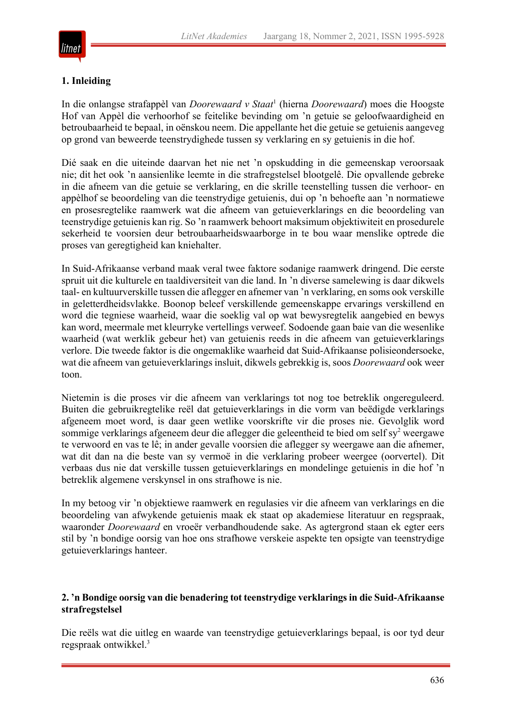

# **1. Inleiding**

In die onlangse strafappèl van *Doorewaard v Staat*<sup>1</sup> (hierna *Doorewaard*) moes die Hoogste Hof van Appèl die verhoorhof se feitelike bevinding om 'n getuie se geloofwaardigheid en betroubaarheid te bepaal, in oënskou neem. Die appellante het die getuie se getuienis aangeveg op grond van beweerde teenstrydighede tussen sy verklaring en sy getuienis in die hof.

Dié saak en die uiteinde daarvan het nie net 'n opskudding in die gemeenskap veroorsaak nie; dit het ook 'n aansienlike leemte in die strafregstelsel blootgelê. Die opvallende gebreke in die afneem van die getuie se verklaring, en die skrille teenstelling tussen die verhoor- en appèlhof se beoordeling van die teenstrydige getuienis, dui op 'n behoefte aan 'n normatiewe en prosesregtelike raamwerk wat die afneem van getuieverklarings en die beoordeling van teenstrydige getuienis kan rig. So 'n raamwerk behoort maksimum objektiwiteit en prosedurele sekerheid te voorsien deur betroubaarheidswaarborge in te bou waar menslike optrede die proses van geregtigheid kan kniehalter.

In Suid-Afrikaanse verband maak veral twee faktore sodanige raamwerk dringend. Die eerste spruit uit die kulturele en taaldiversiteit van die land. In 'n diverse samelewing is daar dikwels taal- en kultuurverskille tussen die aflegger en afnemer van 'n verklaring, en soms ook verskille in geletterdheidsvlakke. Boonop beleef verskillende gemeenskappe ervarings verskillend en word die tegniese waarheid, waar die soeklig val op wat bewysregtelik aangebied en bewys kan word, meermale met kleurryke vertellings verweef. Sodoende gaan baie van die wesenlike waarheid (wat werklik gebeur het) van getuienis reeds in die afneem van getuieverklarings verlore. Die tweede faktor is die ongemaklike waarheid dat Suid-Afrikaanse polisieondersoeke, wat die afneem van getuieverklarings insluit, dikwels gebrekkig is, soos *Doorewaard* ook weer toon.

Nietemin is die proses vir die afneem van verklarings tot nog toe betreklik ongereguleerd. Buiten die gebruikregtelike reël dat getuieverklarings in die vorm van beëdigde verklarings afgeneem moet word, is daar geen wetlike voorskrifte vir die proses nie. Gevolglik word sommige verklarings afgeneem deur die aflegger die geleentheid te bied om self sy<sup>2</sup> weergawe te verwoord en vas te lê; in ander gevalle voorsien die aflegger sy weergawe aan die afnemer, wat dit dan na die beste van sy vermoë in die verklaring probeer weergee (oorvertel). Dit verbaas dus nie dat verskille tussen getuieverklarings en mondelinge getuienis in die hof 'n betreklik algemene verskynsel in ons strafhowe is nie.

In my betoog vir 'n objektiewe raamwerk en regulasies vir die afneem van verklarings en die beoordeling van afwykende getuienis maak ek staat op akademiese literatuur en regspraak, waaronder *Doorewaard* en vroeër verbandhoudende sake. As agtergrond staan ek egter eers stil by 'n bondige oorsig van hoe ons strafhowe verskeie aspekte ten opsigte van teenstrydige getuieverklarings hanteer.

#### **2. 'n Bondige oorsig van die benadering tot teenstrydige verklarings in die Suid-Afrikaanse strafregstelsel**

Die reëls wat die uitleg en waarde van teenstrydige getuieverklarings bepaal, is oor tyd deur regspraak ontwikkel.3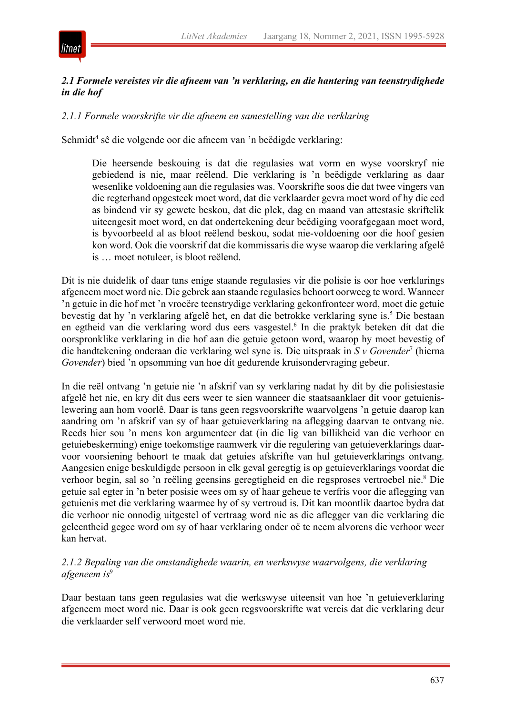

#### *2.1 Formele vereistes vir die afneem van 'n verklaring, en die hantering van teenstrydighede in die hof*

#### *2.1.1 Formele voorskrifte vir die afneem en samestelling van die verklaring*

Schmidt<sup>4</sup> sê die volgende oor die afneem van 'n beëdigde verklaring:

Die heersende beskouing is dat die regulasies wat vorm en wyse voorskryf nie gebiedend is nie, maar reëlend. Die verklaring is 'n beëdigde verklaring as daar wesenlike voldoening aan die regulasies was. Voorskrifte soos die dat twee vingers van die regterhand opgesteek moet word, dat die verklaarder gevra moet word of hy die eed as bindend vir sy gewete beskou, dat die plek, dag en maand van attestasie skriftelik uiteengesit moet word, en dat ondertekening deur beëdiging voorafgegaan moet word, is byvoorbeeld al as bloot reëlend beskou, sodat nie-voldoening oor die hoof gesien kon word. Ook die voorskrif dat die kommissaris die wyse waarop die verklaring afgelê is … moet notuleer, is bloot reëlend.

Dit is nie duidelik of daar tans enige staande regulasies vir die polisie is oor hoe verklarings afgeneem moet word nie. Die gebrek aan staande regulasies behoort oorweeg te word. Wanneer 'n getuie in die hof met 'n vroeëre teenstrydige verklaring gekonfronteer word, moet die getuie bevestig dat hy 'n verklaring afgelê het, en dat die betrokke verklaring syne is.5 Die bestaan en egtheid van die verklaring word dus eers vasgestel.<sup>6</sup> In die praktyk beteken dít dat die oorspronklike verklaring in die hof aan die getuie getoon word, waarop hy moet bevestig of die handtekening onderaan die verklaring wel syne is. Die uitspraak in *S v Govender*<sup>7</sup> (hierna *Govender*) bied 'n opsomming van hoe dít gedurende kruisondervraging gebeur.

In die reël ontvang 'n getuie nie 'n afskrif van sy verklaring nadat hy dit by die polisiestasie afgelê het nie, en kry dit dus eers weer te sien wanneer die staatsaanklaer dit voor getuienislewering aan hom voorlê. Daar is tans geen regsvoorskrifte waarvolgens 'n getuie daarop kan aandring om 'n afskrif van sy of haar getuieverklaring na aflegging daarvan te ontvang nie. Reeds hier sou 'n mens kon argumenteer dat (in die lig van billikheid van die verhoor en getuiebeskerming) enige toekomstige raamwerk vir die regulering van getuieverklarings daarvoor voorsiening behoort te maak dat getuies afskrifte van hul getuieverklarings ontvang. Aangesien enige beskuldigde persoon in elk geval geregtig is op getuieverklarings voordat die verhoor begin, sal so 'n reëling geensins geregtigheid en die regsproses vertroebel nie.<sup>8</sup> Die getuie sal egter in 'n beter posisie wees om sy of haar geheue te verfris voor die aflegging van getuienis met die verklaring waarmee hy of sy vertroud is. Dit kan moontlik daartoe bydra dat die verhoor nie onnodig uitgestel of vertraag word nie as die aflegger van die verklaring die geleentheid gegee word om sy of haar verklaring onder oë te neem alvorens die verhoor weer kan hervat.

#### *2.1.2 Bepaling van die omstandighede waarin, en werkswyse waarvolgens, die verklaring afgeneem is*<sup>9</sup>

Daar bestaan tans geen regulasies wat die werkswyse uiteensit van hoe 'n getuieverklaring afgeneem moet word nie. Daar is ook geen regsvoorskrifte wat vereis dat die verklaring deur die verklaarder self verwoord moet word nie.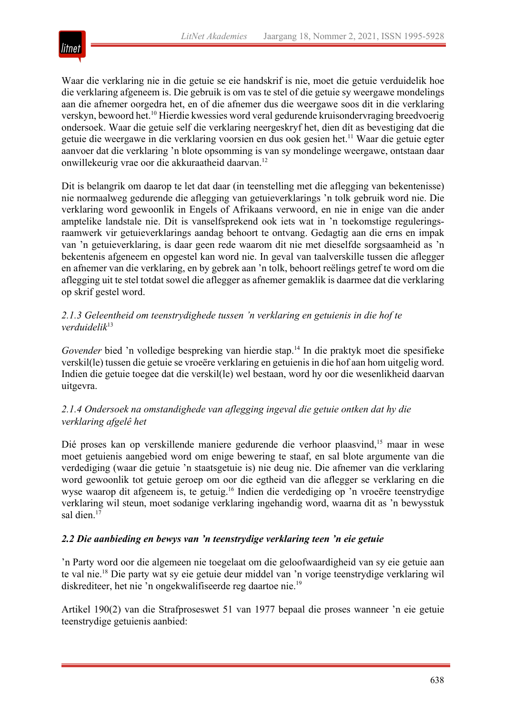

Waar die verklaring nie in die getuie se eie handskrif is nie, moet die getuie verduidelik hoe die verklaring afgeneem is. Die gebruik is om vas te stel of die getuie sy weergawe mondelings aan die afnemer oorgedra het, en of die afnemer dus die weergawe soos dit in die verklaring verskyn, bewoord het.10 Hierdie kwessies word veral gedurende kruisondervraging breedvoerig ondersoek. Waar die getuie self die verklaring neergeskryf het, dien dít as bevestiging dat die getuie die weergawe in die verklaring voorsien en dus ook gesien het.<sup>11</sup> Waar die getuie egter aanvoer dat die verklaring 'n blote opsomming is van sy mondelinge weergawe, ontstaan daar onwillekeurig vrae oor die akkuraatheid daarvan.12

Dit is belangrik om daarop te let dat daar (in teenstelling met die aflegging van bekentenisse) nie normaalweg gedurende die aflegging van getuieverklarings 'n tolk gebruik word nie. Die verklaring word gewoonlik in Engels of Afrikaans verwoord, en nie in enige van die ander amptelike landstale nie. Dít is vanselfsprekend ook iets wat in 'n toekomstige reguleringsraamwerk vir getuieverklarings aandag behoort te ontvang. Gedagtig aan die erns en impak van 'n getuieverklaring, is daar geen rede waarom dit nie met dieselfde sorgsaamheid as 'n bekentenis afgeneem en opgestel kan word nie. In geval van taalverskille tussen die aflegger en afnemer van die verklaring, en by gebrek aan 'n tolk, behoort reëlings getref te word om die aflegging uit te stel totdat sowel die aflegger as afnemer gemaklik is daarmee dat die verklaring op skrif gestel word.

# *2.1.3 Geleentheid om teenstrydighede tussen 'n verklaring en getuienis in die hof te verduidelik*<sup>13</sup>

Govender bied 'n volledige bespreking van hierdie stap.<sup>14</sup> In die praktyk moet die spesifieke verskil(le) tussen die getuie se vroeëre verklaring en getuienis in die hof aan hom uitgelig word. Indien die getuie toegee dat die verskil(le) wel bestaan, word hy oor die wesenlikheid daarvan uitgevra.

# *2.1.4 Ondersoek na omstandighede van aflegging ingeval die getuie ontken dat hy die verklaring afgelê het*

Dié proses kan op verskillende maniere gedurende die verhoor plaasvind,<sup>15</sup> maar in wese moet getuienis aangebied word om enige bewering te staaf, en sal blote argumente van die verdediging (waar die getuie 'n staatsgetuie is) nie deug nie. Die afnemer van die verklaring word gewoonlik tot getuie geroep om oor die egtheid van die aflegger se verklaring en die wyse waarop dit afgeneem is, te getuig.16 Indien die verdediging op 'n vroeëre teenstrydige verklaring wil steun, moet sodanige verklaring ingehandig word, waarna dit as 'n bewysstuk sal dien.<sup>17</sup>

# *2.2 Die aanbieding en bewys van 'n teenstrydige verklaring teen 'n eie getuie*

'n Party word oor die algemeen nie toegelaat om die geloofwaardigheid van sy eie getuie aan te val nie.18 Die party wat sy eie getuie deur middel van 'n vorige teenstrydige verklaring wil diskrediteer, het nie 'n ongekwalifiseerde reg daartoe nie.<sup>19</sup>

Artikel 190(2) van die Strafproseswet 51 van 1977 bepaal die proses wanneer 'n eie getuie teenstrydige getuienis aanbied: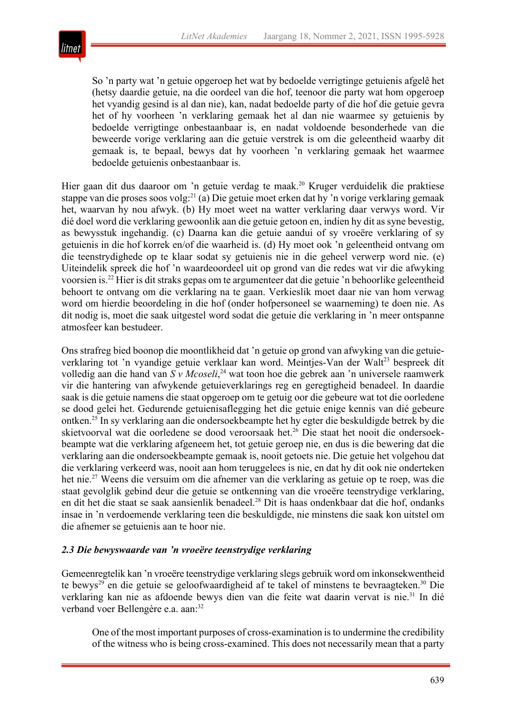

So 'n party wat 'n getuie opgeroep het wat by bedoelde verrigtinge getuienis afgelê het (hetsy daardie getuie, na die oordeel van die hof, teenoor die party wat hom opgeroep het vyandig gesind is al dan nie), kan, nadat bedoelde party of die hof die getuie gevra het of hy voorheen 'n verklaring gemaak het al dan nie waarmee sy getuienis by bedoelde verrigtinge onbestaanbaar is, en nadat voldoende besonderhede van die beweerde vorige verklaring aan die getuie verstrek is om die geleentheid waarby dit gemaak is, te bepaal, bewys dat hy voorheen 'n verklaring gemaak het waarmee bedoelde getuienis onbestaanbaar is.

Hier gaan dit dus daaroor om 'n getuie verdag te maak.<sup>20</sup> Kruger verduidelik die praktiese stappe van die proses soos volg:<sup>21</sup> (a) Die getuie moet erken dat hy 'n vorige verklaring gemaak het, waarvan hy nou afwyk. (b) Hy moet weet na watter verklaring daar verwys word. Vir dié doel word die verklaring gewoonlik aan die getuie getoon en, indien hy dit as syne bevestig, as bewysstuk ingehandig. (c) Daarna kan die getuie aandui of sy vroeëre verklaring of sy getuienis in die hof korrek en/of die waarheid is. (d) Hy moet ook 'n geleentheid ontvang om die teenstrydighede op te klaar sodat sy getuienis nie in die geheel verwerp word nie. (e) Uiteindelik spreek die hof 'n waardeoordeel uit op grond van die redes wat vir die afwyking voorsien is.22 Hier is dit straks gepas om te argumenteer dat die getuie 'n behoorlike geleentheid behoort te ontvang om die verklaring na te gaan. Verkieslik moet daar nie van hom verwag word om hierdie beoordeling in die hof (onder hofpersoneel se waarneming) te doen nie. As dit nodig is, moet die saak uitgestel word sodat die getuie die verklaring in 'n meer ontspanne atmosfeer kan bestudeer.

Ons strafreg bied boonop die moontlikheid dat 'n getuie op grond van afwyking van die getuieverklaring tot 'n vyandige getuie verklaar kan word. Meintjes-Van der Walt<sup>23</sup> bespreek dít volledig aan die hand van *S v Mcoseli*, <sup>24</sup> wat toon hoe die gebrek aan 'n universele raamwerk vir die hantering van afwykende getuieverklarings reg en geregtigheid benadeel. In daardie saak is die getuie namens die staat opgeroep om te getuig oor die gebeure wat tot die oorledene se dood gelei het. Gedurende getuienisaflegging het die getuie enige kennis van dié gebeure ontken.25 In sy verklaring aan die ondersoekbeampte het hy egter die beskuldigde betrek by die skietvoorval wat die oorledene se dood veroorsaak het.26 Die staat het nooit die ondersoekbeampte wat die verklaring afgeneem het, tot getuie geroep nie, en dus is die bewering dat die verklaring aan die ondersoekbeampte gemaak is, nooit getoets nie. Die getuie het volgehou dat die verklaring verkeerd was, nooit aan hom teruggelees is nie, en dat hy dit ook nie onderteken het nie.<sup>27</sup> Weens die versuim om die afnemer van die verklaring as getuie op te roep, was die staat gevolglik gebind deur die getuie se ontkenning van die vroeëre teenstrydige verklaring, en dit het die staat se saak aansienlik benadeel.<sup>28</sup> Dit is haas ondenkbaar dat die hof, ondanks insae in 'n verdoemende verklaring teen die beskuldigde, nie minstens die saak kon uitstel om die afnemer se getuienis aan te hoor nie.

#### *2.3 Die bewyswaarde van 'n vroeëre teenstrydige verklaring*

Gemeenregtelik kan 'n vroeëre teenstrydige verklaring slegs gebruik word om inkonsekwentheid te bewys<sup>29</sup> en die getuie se geloofwaardigheid af te takel of minstens te bevraagteken.<sup>30</sup> Die verklaring kan nie as afdoende bewys dien van die feite wat daarin vervat is nie.<sup>31</sup> In dié verband voer Bellengère e.a. aan:<sup>32</sup>

One of the most important purposes of cross-examination is to undermine the credibility of the witness who is being cross-examined. This does not necessarily mean that a party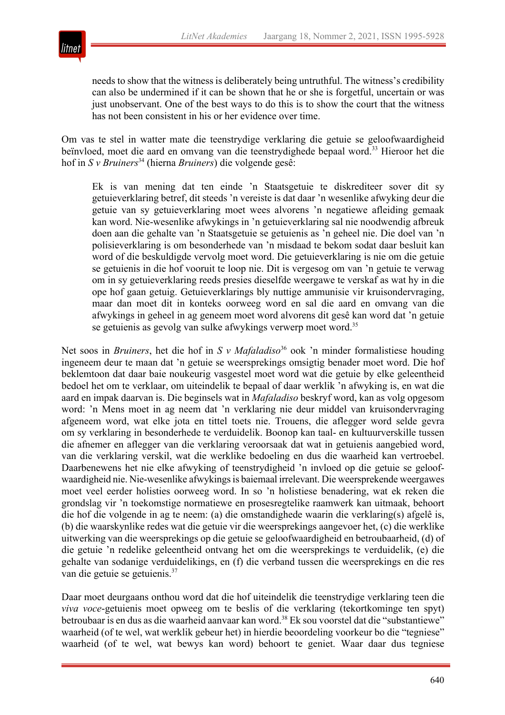

needs to show that the witness is deliberately being untruthful. The witness's credibility can also be undermined if it can be shown that he or she is forgetful, uncertain or was just unobservant. One of the best ways to do this is to show the court that the witness has not been consistent in his or her evidence over time.

Om vas te stel in watter mate die teenstrydige verklaring die getuie se geloofwaardigheid beïnvloed, moet die aard en omvang van die teenstrydighede bepaal word.<sup>33</sup> Hieroor het die hof in *S v Bruiners*<sup>34</sup> (hierna *Bruiners*) die volgende gesê:

Ek is van mening dat ten einde 'n Staatsgetuie te diskrediteer sover dit sy getuieverklaring betref, dit steeds 'n vereiste is dat daar 'n wesenlike afwyking deur die getuie van sy getuieverklaring moet wees alvorens 'n negatiewe afleiding gemaak kan word. Nie-wesenlike afwykings in 'n getuieverklaring sal nie noodwendig afbreuk doen aan die gehalte van 'n Staatsgetuie se getuienis as 'n geheel nie. Die doel van 'n polisieverklaring is om besonderhede van 'n misdaad te bekom sodat daar besluit kan word of die beskuldigde vervolg moet word. Die getuieverklaring is nie om die getuie se getuienis in die hof vooruit te loop nie. Dit is vergesog om van 'n getuie te verwag om in sy getuieverklaring reeds presies dieselfde weergawe te verskaf as wat hy in die ope hof gaan getuig. Getuieverklarings bly nuttige ammunisie vir kruisondervraging, maar dan moet dit in konteks oorweeg word en sal die aard en omvang van die afwykings in geheel in ag geneem moet word alvorens dit gesê kan word dat 'n getuie se getuienis as gevolg van sulke afwykings verwerp moet word.<sup>35</sup>

Net soos in *Bruiners*, het die hof in *S v Mafaladiso*<sup>36</sup> ook 'n minder formalistiese houding ingeneem deur te maan dat 'n getuie se weersprekings omsigtig benader moet word. Die hof beklemtoon dat daar baie noukeurig vasgestel moet word wat die getuie by elke geleentheid bedoel het om te verklaar, om uiteindelik te bepaal of daar werklik 'n afwyking is, en wat die aard en impak daarvan is. Die beginsels wat in *Mafaladiso* beskryf word, kan as volg opgesom word: 'n Mens moet in ag neem dat 'n verklaring nie deur middel van kruisondervraging afgeneem word, wat elke jota en tittel toets nie. Trouens, die aflegger word selde gevra om sy verklaring in besonderhede te verduidelik. Boonop kan taal- en kultuurverskille tussen die afnemer en aflegger van die verklaring veroorsaak dat wat in getuienis aangebied word, van die verklaring verskil, wat die werklike bedoeling en dus die waarheid kan vertroebel. Daarbenewens het nie elke afwyking of teenstrydigheid 'n invloed op die getuie se geloofwaardigheid nie. Nie-wesenlike afwykings is baiemaal irrelevant. Die weersprekende weergawes moet veel eerder holisties oorweeg word. In so 'n holistiese benadering, wat ek reken die grondslag vir 'n toekomstige normatiewe en prosesregtelike raamwerk kan uitmaak, behoort die hof die volgende in ag te neem: (a) die omstandighede waarin die verklaring(s) afgelê is, (b) die waarskynlike redes wat die getuie vir die weersprekings aangevoer het, (c) die werklike uitwerking van die weersprekings op die getuie se geloofwaardigheid en betroubaarheid, (d) of die getuie 'n redelike geleentheid ontvang het om die weersprekings te verduidelik, (e) die gehalte van sodanige verduidelikings, en (f) die verband tussen die weersprekings en die res van die getuie se getuienis.37

Daar moet deurgaans onthou word dat die hof uiteindelik die teenstrydige verklaring teen die *viva voce*-getuienis moet opweeg om te beslis of die verklaring (tekortkominge ten spyt) betroubaar is en dus as die waarheid aanvaar kan word.<sup>38</sup> Ek sou voorstel dat die "substantiewe" waarheid (of te wel, wat werklik gebeur het) in hierdie beoordeling voorkeur bo die "tegniese" waarheid (of te wel, wat bewys kan word) behoort te geniet. Waar daar dus tegniese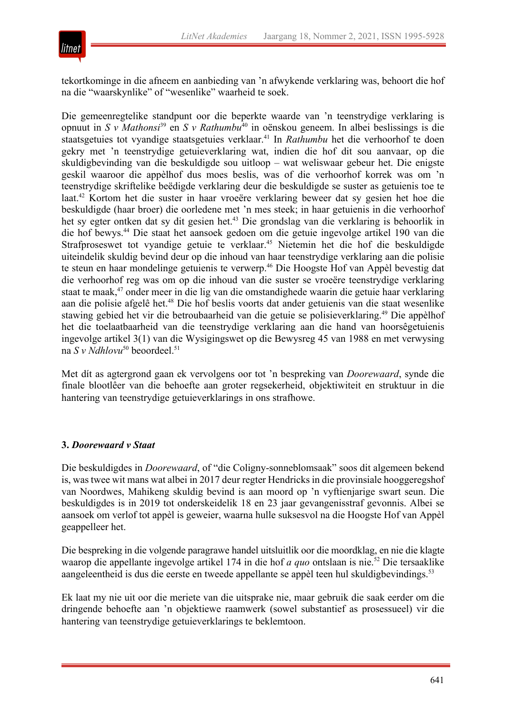

tekortkominge in die afneem en aanbieding van 'n afwykende verklaring was, behoort die hof na die "waarskynlike" of "wesenlike" waarheid te soek.

Die gemeenregtelike standpunt oor die beperkte waarde van 'n teenstrydige verklaring is opnuut in *S v Mathonsi*<sup>39</sup> en *S v Rathumbu*<sup>40</sup> in oënskou geneem. In albei beslissings is die staatsgetuies tot vyandige staatsgetuies verklaar.<sup>41</sup> In *Rathumbu* het die verhoorhof te doen gekry met 'n teenstrydige getuieverklaring wat, indien die hof dit sou aanvaar, op die skuldigbevinding van die beskuldigde sou uitloop – wat weliswaar gebeur het. Die enigste geskil waaroor die appèlhof dus moes beslis, was of die verhoorhof korrek was om 'n teenstrydige skriftelike beëdigde verklaring deur die beskuldigde se suster as getuienis toe te laat.42 Kortom het die suster in haar vroeëre verklaring beweer dat sy gesien het hoe die beskuldigde (haar broer) die oorledene met 'n mes steek; in haar getuienis in die verhoorhof het sy egter ontken dat sy dit gesien het.<sup>43</sup> Die grondslag van die verklaring is behoorlik in die hof bewys.44 Die staat het aansoek gedoen om die getuie ingevolge artikel 190 van die Strafproseswet tot vyandige getuie te verklaar.45 Nietemin het die hof die beskuldigde uiteindelik skuldig bevind deur op die inhoud van haar teenstrydige verklaring aan die polisie te steun en haar mondelinge getuienis te verwerp.<sup>46</sup> Die Hoogste Hof van Appèl bevestig dat die verhoorhof reg was om op die inhoud van die suster se vroeëre teenstrydige verklaring staat te maak,<sup>47</sup> onder meer in die lig van die omstandighede waarin die getuie haar verklaring aan die polisie afgelê het.<sup>48</sup> Die hof beslis voorts dat ander getuienis van die staat wesenlike stawing gebied het vir die betroubaarheid van die getuie se polisieverklaring.<sup>49</sup> Die appèlhof het die toelaatbaarheid van die teenstrydige verklaring aan die hand van hoorsêgetuienis ingevolge artikel 3(1) van die Wysigingswet op die Bewysreg 45 van 1988 en met verwysing na *S v Ndhlovu*<sup>50</sup> beoordeel.<sup>51</sup>

Met dít as agtergrond gaan ek vervolgens oor tot 'n bespreking van *Doorewaard*, synde die finale blootlêer van die behoefte aan groter regsekerheid, objektiwiteit en struktuur in die hantering van teenstrydige getuieverklarings in ons strafhowe.

#### **3.** *Doorewaard v Staat*

Die beskuldigdes in *Doorewaard*, of "die Coligny-sonneblomsaak" soos dit algemeen bekend is, was twee wit mans wat albei in 2017 deur regter Hendricks in die provinsiale hooggeregshof van Noordwes, Mahikeng skuldig bevind is aan moord op 'n vyftienjarige swart seun. Die beskuldigdes is in 2019 tot onderskeidelik 18 en 23 jaar gevangenisstraf gevonnis. Albei se aansoek om verlof tot appèl is geweier, waarna hulle suksesvol na die Hoogste Hof van Appèl geappelleer het.

Die bespreking in die volgende paragrawe handel uitsluitlik oor die moordklag, en nie die klagte waarop die appellante ingevolge artikel 174 in die hof *a quo* ontslaan is nie.52 Die tersaaklike aangeleentheid is dus die eerste en tweede appellante se appèl teen hul skuldigbevindings.<sup>53</sup>

Ek laat my nie uit oor die meriete van die uitsprake nie, maar gebruik die saak eerder om die dringende behoefte aan 'n objektiewe raamwerk (sowel substantief as prosessueel) vir die hantering van teenstrydige getuieverklarings te beklemtoon.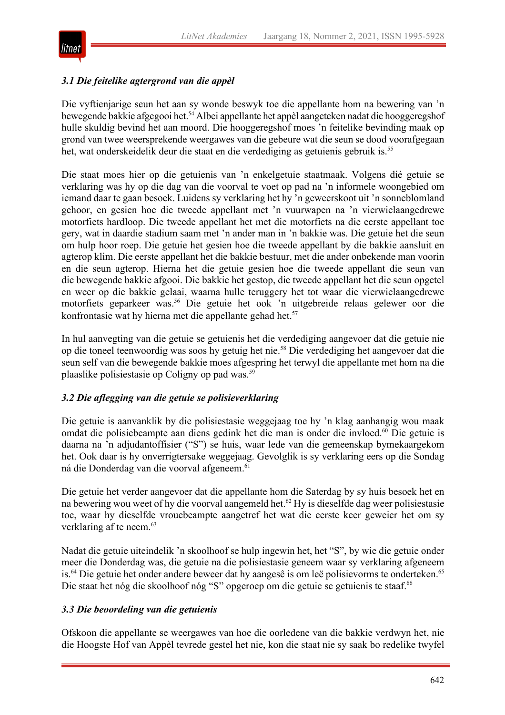

# *3.1 Die feitelike agtergrond van die appèl*

Die vyftienjarige seun het aan sy wonde beswyk toe die appellante hom na bewering van 'n bewegende bakkie afgegooi het.<sup>54</sup> Albei appellante het appèl aangeteken nadat die hooggeregshof hulle skuldig bevind het aan moord. Die hooggeregshof moes 'n feitelike bevinding maak op grond van twee weersprekende weergawes van die gebeure wat die seun se dood voorafgegaan het, wat onderskeidelik deur die staat en die verdediging as getuienis gebruik is.<sup>55</sup>

Die staat moes hier op die getuienis van 'n enkelgetuie staatmaak. Volgens dié getuie se verklaring was hy op die dag van die voorval te voet op pad na 'n informele woongebied om iemand daar te gaan besoek. Luidens sy verklaring het hy 'n geweerskoot uit 'n sonneblomland gehoor, en gesien hoe die tweede appellant met 'n vuurwapen na 'n vierwielaangedrewe motorfiets hardloop. Die tweede appellant het met die motorfiets na die eerste appellant toe gery, wat in daardie stadium saam met 'n ander man in 'n bakkie was. Die getuie het die seun om hulp hoor roep. Die getuie het gesien hoe die tweede appellant by die bakkie aansluit en agterop klim. Die eerste appellant het die bakkie bestuur, met die ander onbekende man voorin en die seun agterop. Hierna het die getuie gesien hoe die tweede appellant die seun van die bewegende bakkie afgooi. Die bakkie het gestop, die tweede appellant het die seun opgetel en weer op die bakkie gelaai, waarna hulle teruggery het tot waar die vierwielaangedrewe motorfiets geparkeer was.56 Die getuie het ook 'n uitgebreide relaas gelewer oor die konfrontasie wat hy hierna met die appellante gehad het.<sup>57</sup>

In hul aanvegting van die getuie se getuienis het die verdediging aangevoer dat die getuie nie op die toneel teenwoordig was soos hy getuig het nie.58 Die verdediging het aangevoer dat die seun self van die bewegende bakkie moes afgespring het terwyl die appellante met hom na die plaaslike polisiestasie op Coligny op pad was.59

#### *3.2 Die aflegging van die getuie se polisieverklaring*

Die getuie is aanvanklik by die polisiestasie weggejaag toe hy 'n klag aanhangig wou maak omdat die polisiebeampte aan diens gedink het die man is onder die invloed.<sup>60</sup> Die getuie is daarna na 'n adjudantoffisier ("S") se huis, waar lede van die gemeenskap bymekaargekom het. Ook daar is hy onverrigtersake weggejaag. Gevolglik is sy verklaring eers op die Sondag ná die Donderdag van die voorval afgeneem.<sup>61</sup>

Die getuie het verder aangevoer dat die appellante hom die Saterdag by sy huis besoek het en na bewering wou weet of hy die voorval aangemeld het.<sup>62</sup> Hy is dieselfde dag weer polisiestasie toe, waar hy dieselfde vrouebeampte aangetref het wat die eerste keer geweier het om sy verklaring af te neem.<sup>63</sup>

Nadat die getuie uiteindelik 'n skoolhoof se hulp ingewin het, het "S", by wie die getuie onder meer die Donderdag was, die getuie na die polisiestasie geneem waar sy verklaring afgeneem is.<sup>64</sup> Die getuie het onder andere beweer dat hy aangesê is om leë polisievorms te onderteken.<sup>65</sup> Die staat het nóg die skoolhoof nóg "S" opgeroep om die getuie se getuienis te staaf.<sup>66</sup>

#### *3.3 Die beoordeling van die getuienis*

Ofskoon die appellante se weergawes van hoe die oorledene van die bakkie verdwyn het, nie die Hoogste Hof van Appèl tevrede gestel het nie, kon die staat nie sy saak bo redelike twyfel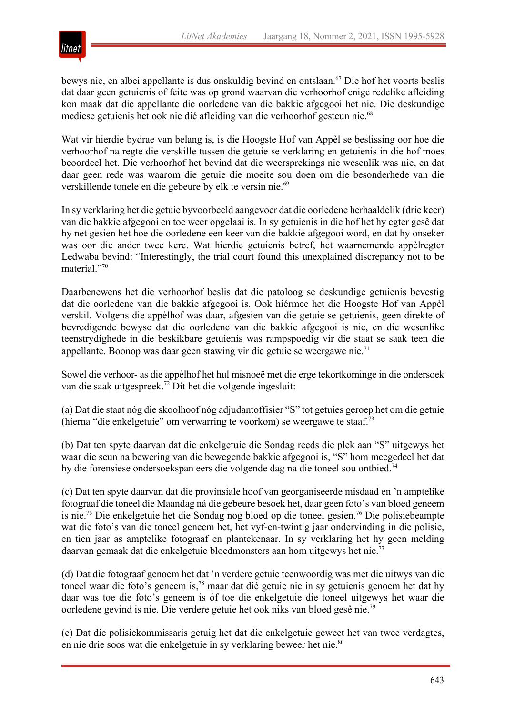

bewys nie, en albei appellante is dus onskuldig bevind en ontslaan.<sup>67</sup> Die hof het voorts beslis dat daar geen getuienis of feite was op grond waarvan die verhoorhof enige redelike afleiding kon maak dat die appellante die oorledene van die bakkie afgegooi het nie. Die deskundige mediese getuienis het ook nie dié afleiding van die verhoorhof gesteun nie.<sup>68</sup>

Wat vir hierdie bydrae van belang is, is die Hoogste Hof van Appèl se beslissing oor hoe die verhoorhof na regte die verskille tussen die getuie se verklaring en getuienis in die hof moes beoordeel het. Die verhoorhof het bevind dat die weersprekings nie wesenlik was nie, en dat daar geen rede was waarom die getuie die moeite sou doen om die besonderhede van die verskillende tonele en die gebeure by elk te versin nie.<sup>69</sup>

In sy verklaring het die getuie byvoorbeeld aangevoer dat die oorledene herhaaldelik (drie keer) van die bakkie afgegooi en toe weer opgelaai is. In sy getuienis in die hof het hy egter gesê dat hy net gesien het hoe die oorledene een keer van die bakkie afgegooi word, en dat hy onseker was oor die ander twee kere. Wat hierdie getuienis betref, het waarnemende appèlregter Ledwaba bevind: "Interestingly, the trial court found this unexplained discrepancy not to be material."70

Daarbenewens het die verhoorhof beslis dat die patoloog se deskundige getuienis bevestig dat die oorledene van die bakkie afgegooi is. Ook hiérmee het die Hoogste Hof van Appèl verskil. Volgens die appèlhof was daar, afgesien van die getuie se getuienis, geen direkte of bevredigende bewyse dat die oorledene van die bakkie afgegooi is nie, en die wesenlike teenstrydighede in die beskikbare getuienis was rampspoedig vir die staat se saak teen die appellante. Boonop was daar geen stawing vir die getuie se weergawe nie.71

Sowel die verhoor- as die appèlhof het hul misnoeë met die erge tekortkominge in die ondersoek van die saak uitgespreek.72 Dít het die volgende ingesluit:

(a) Dat die staat nóg die skoolhoof nóg adjudantoffisier "S" tot getuies geroep het om die getuie (hierna "die enkelgetuie" om verwarring te voorkom) se weergawe te staaf.73

(b) Dat ten spyte daarvan dat die enkelgetuie die Sondag reeds die plek aan "S" uitgewys het waar die seun na bewering van die bewegende bakkie afgegooi is, "S" hom meegedeel het dat hy die forensiese ondersoekspan eers die volgende dag na die toneel sou ontbied.<sup>74</sup>

(c) Dat ten spyte daarvan dat die provinsiale hoof van georganiseerde misdaad en 'n amptelike fotograaf die toneel die Maandag ná die gebeure besoek het, daar geen foto's van bloed geneem is nie.75 Die enkelgetuie het die Sondag nog bloed op die toneel gesien.76 Die polisiebeampte wat die foto's van die toneel geneem het, het vyf-en-twintig jaar ondervinding in die polisie, en tien jaar as amptelike fotograaf en plantekenaar. In sy verklaring het hy geen melding daarvan gemaak dat die enkelgetuie bloedmonsters aan hom uitgewys het nie.<sup>77</sup>

(d) Dat die fotograaf genoem het dat 'n verdere getuie teenwoordig was met die uitwys van die toneel waar die foto's geneem is,78 maar dat dié getuie nie in sy getuienis genoem het dat hy daar was toe die foto's geneem is óf toe die enkelgetuie die toneel uitgewys het waar die oorledene gevind is nie. Die verdere getuie het ook niks van bloed gesê nie.79

(e) Dat die polisiekommissaris getuig het dat die enkelgetuie geweet het van twee verdagtes, en nie drie soos wat die enkelgetuie in sy verklaring beweer het nie.<sup>80</sup>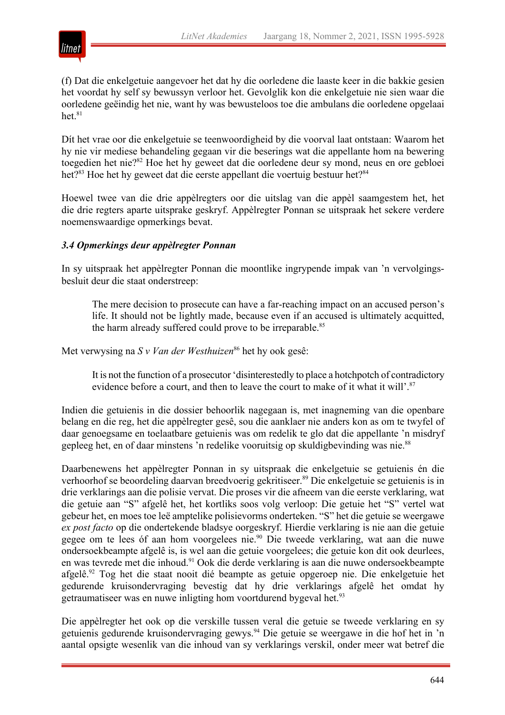

(f) Dat die enkelgetuie aangevoer het dat hy die oorledene die laaste keer in die bakkie gesien het voordat hy self sy bewussyn verloor het. Gevolglik kon die enkelgetuie nie sien waar die oorledene geëindig het nie, want hy was bewusteloos toe die ambulans die oorledene opgelaai het. $81$ 

Dít het vrae oor die enkelgetuie se teenwoordigheid by die voorval laat ontstaan: Waarom het hy nie vir mediese behandeling gegaan vir die beserings wat die appellante hom na bewering toegedien het nie?<sup>82</sup> Hoe het hy geweet dat die oorledene deur sy mond, neus en ore gebloei het?<sup>83</sup> Hoe het hy geweet dat die eerste appellant die voertuig bestuur het?<sup>84</sup>

Hoewel twee van die drie appèlregters oor die uitslag van die appèl saamgestem het, het die drie regters aparte uitsprake geskryf. Appèlregter Ponnan se uitspraak het sekere verdere noemenswaardige opmerkings bevat.

#### *3.4 Opmerkings deur appèlregter Ponnan*

In sy uitspraak het appèlregter Ponnan die moontlike ingrypende impak van 'n vervolgingsbesluit deur die staat onderstreep:

The mere decision to prosecute can have a far-reaching impact on an accused person's life. It should not be lightly made, because even if an accused is ultimately acquitted, the harm already suffered could prove to be irreparable.<sup>85</sup>

Met verwysing na *S v Van der Westhuizen*<sup>86</sup> het hy ook gesê:

It is not the function of a prosecutor 'disinterestedly to place a hotchpotch of contradictory evidence before a court, and then to leave the court to make of it what it will'.<sup>87</sup>

Indien die getuienis in die dossier behoorlik nagegaan is, met inagneming van die openbare belang en die reg, het die appèlregter gesê, sou die aanklaer nie anders kon as om te twyfel of daar genoegsame en toelaatbare getuienis was om redelik te glo dat die appellante 'n misdryf gepleeg het, en of daar minstens 'n redelike vooruitsig op skuldigbevinding was nie.<sup>88</sup>

Daarbenewens het appèlregter Ponnan in sy uitspraak die enkelgetuie se getuienis én die verhoorhof se beoordeling daarvan breedvoerig gekritiseer.<sup>89</sup> Die enkelgetuie se getuienis is in drie verklarings aan die polisie vervat. Die proses vir die afneem van die eerste verklaring, wat die getuie aan "S" afgelê het, het kortliks soos volg verloop: Die getuie het "S" vertel wat gebeur het, en moes toe leë amptelike polisievorms onderteken. "S" het die getuie se weergawe *ex post facto* op die ondertekende bladsye oorgeskryf. Hierdie verklaring is nie aan die getuie gegee om te lees óf aan hom voorgelees nie.<sup>90</sup> Die tweede verklaring, wat aan die nuwe ondersoekbeampte afgelê is, is wel aan die getuie voorgelees; die getuie kon dit ook deurlees, en was tevrede met die inhoud.<sup>91</sup> Ook die derde verklaring is aan die nuwe ondersoekbeampte afgelê.92 Tog het die staat nooit dié beampte as getuie opgeroep nie. Die enkelgetuie het gedurende kruisondervraging bevestig dat hy drie verklarings afgelê het omdat hy getraumatiseer was en nuwe inligting hom voortdurend bygeval het.<sup>93</sup>

Die appèlregter het ook op die verskille tussen veral die getuie se tweede verklaring en sy getuienis gedurende kruisondervraging gewys.94 Die getuie se weergawe in die hof het in 'n aantal opsigte wesenlik van die inhoud van sy verklarings verskil, onder meer wat betref die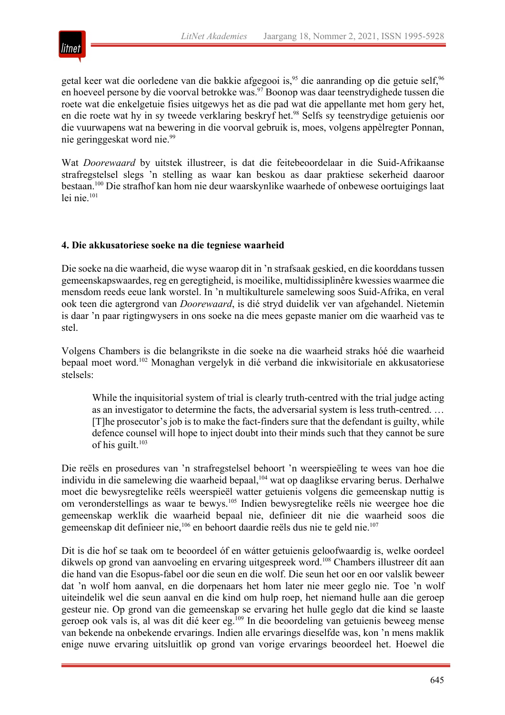

getal keer wat die oorledene van die bakkie afgegooi is,<sup>95</sup> die aanranding op die getuie self,<sup>96</sup> en hoeveel persone by die voorval betrokke was.<sup>97</sup> Boonop was daar teenstrydighede tussen die roete wat die enkelgetuie fisies uitgewys het as die pad wat die appellante met hom gery het, en die roete wat hy in sy tweede verklaring beskryf het.<sup>98</sup> Selfs sy teenstrydige getuienis oor die vuurwapens wat na bewering in die voorval gebruik is, moes, volgens appèlregter Ponnan, nie geringgeskat word nie.99

Wat *Doorewaard* by uitstek illustreer, is dat die feitebeoordelaar in die Suid-Afrikaanse strafregstelsel slegs 'n stelling as waar kan beskou as daar praktiese sekerheid daaroor bestaan.100 Die strafhof kan hom nie deur waarskynlike waarhede of onbewese oortuigings laat lei nie.101

# **4. Die akkusatoriese soeke na die tegniese waarheid**

Die soeke na die waarheid, die wyse waarop dit in 'n strafsaak geskied, en die koorddans tussen gemeenskapswaardes, reg en geregtigheid, is moeilike, multidissiplinêre kwessies waarmee die mensdom reeds eeue lank worstel. In 'n multikulturele samelewing soos Suid-Afrika, en veral ook teen die agtergrond van *Doorewaard*, is dié stryd duidelik ver van afgehandel. Nietemin is daar 'n paar rigtingwysers in ons soeke na die mees gepaste manier om die waarheid vas te stel.

Volgens Chambers is die belangrikste in die soeke na die waarheid straks hóé die waarheid bepaal moet word.102 Monaghan vergelyk in dié verband die inkwisitoriale en akkusatoriese stelsels:

While the inquisitorial system of trial is clearly truth-centred with the trial judge acting as an investigator to determine the facts, the adversarial system is less truth-centred. … [T]he prosecutor's job is to make the fact-finders sure that the defendant is guilty, while defence counsel will hope to inject doubt into their minds such that they cannot be sure of his guilt. $103$ 

Die reëls en prosedures van 'n strafregstelsel behoort 'n weerspieëling te wees van hoe die individu in die samelewing die waarheid bepaal,<sup>104</sup> wat op daaglikse ervaring berus. Derhalwe moet die bewysregtelike reëls weerspieël watter getuienis volgens die gemeenskap nuttig is om veronderstellings as waar te bewys.105 Indien bewysregtelike reëls nie weergee hoe die gemeenskap werklik die waarheid bepaal nie, definieer dit nie die waarheid soos die gemeenskap dit definieer nie,<sup>106</sup> en behoort daardie reëls dus nie te geld nie.<sup>107</sup>

Dit is die hof se taak om te beoordeel óf en wátter getuienis geloofwaardig is, welke oordeel dikwels op grond van aanvoeling en ervaring uitgespreek word.<sup>108</sup> Chambers illustreer dít aan die hand van die Esopus-fabel oor die seun en die wolf. Die seun het oor en oor valslik beweer dat 'n wolf hom aanval, en die dorpenaars het hom later nie meer geglo nie. Toe 'n wolf uiteindelik wel die seun aanval en die kind om hulp roep, het niemand hulle aan die geroep gesteur nie. Op grond van die gemeenskap se ervaring het hulle geglo dat die kind se laaste geroep ook vals is, al was dit dié keer eg.<sup>109</sup> In die beoordeling van getuienis beweeg mense van bekende na onbekende ervarings. Indien alle ervarings dieselfde was, kon 'n mens maklik enige nuwe ervaring uitsluitlik op grond van vorige ervarings beoordeel het. Hoewel die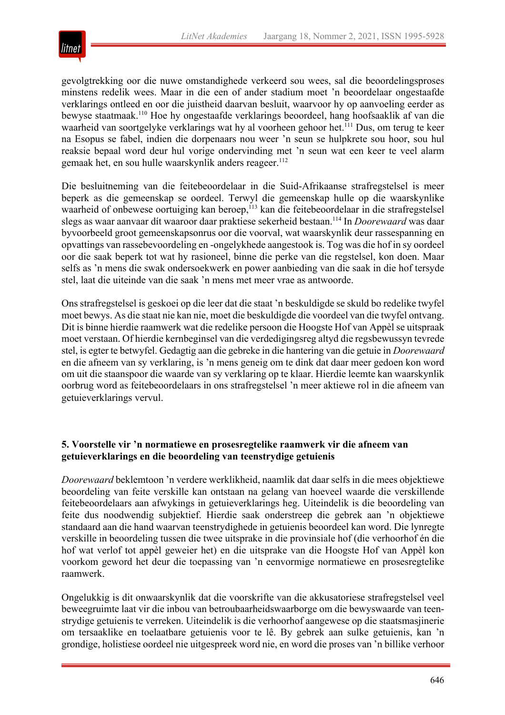

gevolgtrekking oor die nuwe omstandighede verkeerd sou wees, sal die beoordelingsproses minstens redelik wees. Maar in die een of ander stadium moet 'n beoordelaar ongestaafde verklarings ontleed en oor die juistheid daarvan besluit, waarvoor hy op aanvoeling eerder as bewyse staatmaak.110 Hoe hy ongestaafde verklarings beoordeel, hang hoofsaaklik af van die waarheid van soortgelyke verklarings wat hy al voorheen gehoor het.111 Dus, om terug te keer na Esopus se fabel, indien die dorpenaars nou weer 'n seun se hulpkrete sou hoor, sou hul reaksie bepaal word deur hul vorige ondervinding met 'n seun wat een keer te veel alarm gemaak het, en sou hulle waarskynlik anders reageer.<sup>112</sup>

Die besluitneming van die feitebeoordelaar in die Suid-Afrikaanse strafregstelsel is meer beperk as die gemeenskap se oordeel. Terwyl die gemeenskap hulle op die waarskynlike waarheid of onbewese oortuiging kan beroep,<sup>113</sup> kan die feitebeoordelaar in die strafregstelsel slegs as waar aanvaar dít waaroor daar praktiese sekerheid bestaan.114 In *Doorewaard* was daar byvoorbeeld groot gemeenskapsonrus oor die voorval, wat waarskynlik deur rassespanning en opvattings van rassebevoordeling en -ongelykhede aangestook is. Tog was die hof in sy oordeel oor die saak beperk tot wat hy rasioneel, binne die perke van die regstelsel, kon doen. Maar selfs as 'n mens die swak ondersoekwerk en power aanbieding van die saak in die hof tersyde stel, laat die uiteinde van die saak 'n mens met meer vrae as antwoorde.

Ons strafregstelsel is geskoei op die leer dat die staat 'n beskuldigde se skuld bo redelike twyfel moet bewys. As die staat nie kan nie, moet die beskuldigde die voordeel van die twyfel ontvang. Dit is binne hierdie raamwerk wat die redelike persoon die Hoogste Hof van Appèl se uitspraak moet verstaan. Of hierdie kernbeginsel van die verdedigingsreg altyd die regsbewussyn tevrede stel, is egter te betwyfel. Gedagtig aan die gebreke in die hantering van die getuie in *Doorewaard* en die afneem van sy verklaring, is 'n mens geneig om te dink dat daar meer gedoen kon word om uit die staanspoor die waarde van sy verklaring op te klaar. Hierdie leemte kan waarskynlik oorbrug word as feitebeoordelaars in ons strafregstelsel 'n meer aktiewe rol in die afneem van getuieverklarings vervul.

#### **5. Voorstelle vir 'n normatiewe en prosesregtelike raamwerk vir die afneem van getuieverklarings en die beoordeling van teenstrydige getuienis**

*Doorewaard* beklemtoon 'n verdere werklikheid, naamlik dat daar selfs in die mees objektiewe beoordeling van feite verskille kan ontstaan na gelang van hoeveel waarde die verskillende feitebeoordelaars aan afwykings in getuieverklarings heg. Uiteindelik is die beoordeling van feite dus noodwendig subjektief. Hierdie saak onderstreep die gebrek aan 'n objektiewe standaard aan die hand waarvan teenstrydighede in getuienis beoordeel kan word. Die lynregte verskille in beoordeling tussen die twee uitsprake in die provinsiale hof (die verhoorhof én die hof wat verlof tot appèl geweier het) en die uitsprake van die Hoogste Hof van Appèl kon voorkom geword het deur die toepassing van 'n eenvormige normatiewe en prosesregtelike raamwerk.

Ongelukkig is dit onwaarskynlik dat die voorskrifte van die akkusatoriese strafregstelsel veel beweegruimte laat vir die inbou van betroubaarheidswaarborge om die bewyswaarde van teenstrydige getuienis te verreken. Uiteindelik is die verhoorhof aangewese op die staatsmasjinerie om tersaaklike en toelaatbare getuienis voor te lê. By gebrek aan sulke getuienis, kan 'n grondige, holistiese oordeel nie uitgespreek word nie, en word die proses van 'n billike verhoor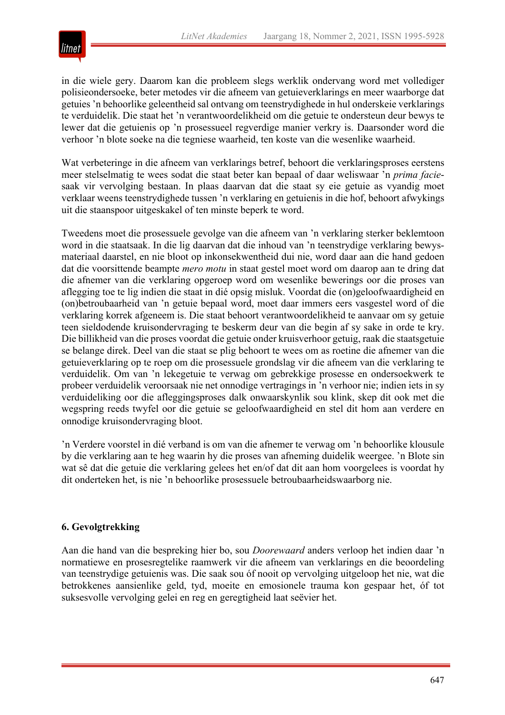

in die wiele gery. Daarom kan die probleem slegs werklik ondervang word met vollediger polisieondersoeke, beter metodes vir die afneem van getuieverklarings en meer waarborge dat getuies 'n behoorlike geleentheid sal ontvang om teenstrydighede in hul onderskeie verklarings te verduidelik. Die staat het 'n verantwoordelikheid om die getuie te ondersteun deur bewys te lewer dat die getuienis op 'n prosessueel regverdige manier verkry is. Daarsonder word die verhoor 'n blote soeke na die tegniese waarheid, ten koste van die wesenlike waarheid.

Wat verbeteringe in die afneem van verklarings betref, behoort die verklaringsproses eerstens meer stelselmatig te wees sodat die staat beter kan bepaal of daar weliswaar 'n *prima facie*saak vir vervolging bestaan. In plaas daarvan dat die staat sy eie getuie as vyandig moet verklaar weens teenstrydighede tussen 'n verklaring en getuienis in die hof, behoort afwykings uit die staanspoor uitgeskakel of ten minste beperk te word.

Tweedens moet die prosessuele gevolge van die afneem van 'n verklaring sterker beklemtoon word in die staatsaak. In die lig daarvan dat die inhoud van 'n teenstrydige verklaring bewysmateriaal daarstel, en nie bloot op inkonsekwentheid dui nie, word daar aan die hand gedoen dat die voorsittende beampte *mero motu* in staat gestel moet word om daarop aan te dring dat die afnemer van die verklaring opgeroep word om wesenlike bewerings oor die proses van aflegging toe te lig indien die staat in dié opsig misluk. Voordat die (on)geloofwaardigheid en (on)betroubaarheid van 'n getuie bepaal word, moet daar immers eers vasgestel word of die verklaring korrek afgeneem is. Die staat behoort verantwoordelikheid te aanvaar om sy getuie teen sieldodende kruisondervraging te beskerm deur van die begin af sy sake in orde te kry. Die billikheid van die proses voordat die getuie onder kruisverhoor getuig, raak die staatsgetuie se belange direk. Deel van die staat se plig behoort te wees om as roetine die afnemer van die getuieverklaring op te roep om die prosessuele grondslag vir die afneem van die verklaring te verduidelik. Om van 'n lekegetuie te verwag om gebrekkige prosesse en ondersoekwerk te probeer verduidelik veroorsaak nie net onnodige vertragings in 'n verhoor nie; indien iets in sy verduideliking oor die afleggingsproses dalk onwaarskynlik sou klink, skep dit ook met die wegspring reeds twyfel oor die getuie se geloofwaardigheid en stel dit hom aan verdere en onnodige kruisondervraging bloot.

'n Verdere voorstel in dié verband is om van die afnemer te verwag om 'n behoorlike klousule by die verklaring aan te heg waarin hy die proses van afneming duidelik weergee. 'n Blote sin wat sê dat die getuie die verklaring gelees het en/of dat dit aan hom voorgelees is voordat hy dit onderteken het, is nie 'n behoorlike prosessuele betroubaarheidswaarborg nie.

# **6. Gevolgtrekking**

Aan die hand van die bespreking hier bo, sou *Doorewaard* anders verloop het indien daar 'n normatiewe en prosesregtelike raamwerk vir die afneem van verklarings en die beoordeling van teenstrydige getuienis was. Die saak sou óf nooit op vervolging uitgeloop het nie, wat die betrokkenes aansienlike geld, tyd, moeite en emosionele trauma kon gespaar het, óf tot suksesvolle vervolging gelei en reg en geregtigheid laat seëvier het.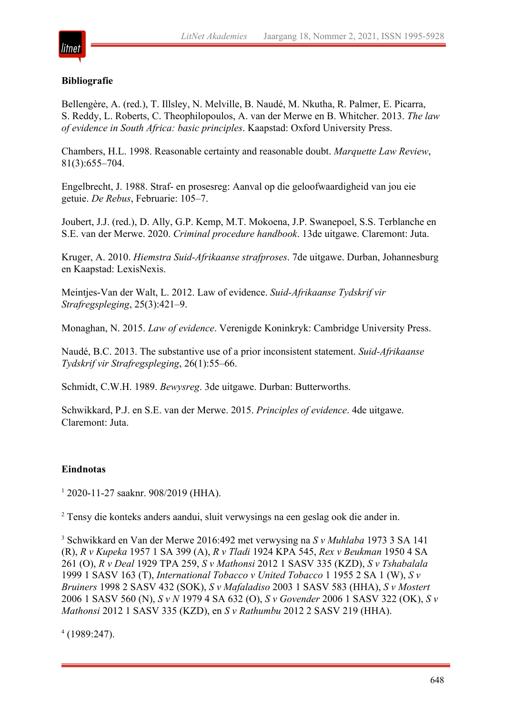

#### **Bibliografie**

Bellengère, A. (red.), T. Illsley, N. Melville, B. Naudé, M. Nkutha, R. Palmer, E. Picarra, S. Reddy, L. Roberts, C. Theophilopoulos, A. van der Merwe en B. Whitcher. 2013. *The law of evidence in South Africa: basic principles*. Kaapstad: Oxford University Press.

Chambers, H.L. 1998. Reasonable certainty and reasonable doubt. *Marquette Law Review*, 81(3):655–704.

Engelbrecht, J. 1988. Straf- en prosesreg: Aanval op die geloofwaardigheid van jou eie getuie. *De Rebus*, Februarie: 105–7.

Joubert, J.J. (red.), D. Ally, G.P. Kemp, M.T. Mokoena, J.P. Swanepoel, S.S. Terblanche en S.E. van der Merwe. 2020. *Criminal procedure handbook*. 13de uitgawe. Claremont: Juta.

Kruger, A. 2010. *Hiemstra Suid-Afrikaanse strafproses*. 7de uitgawe. Durban, Johannesburg en Kaapstad: LexisNexis.

Meintjes-Van der Walt, L. 2012. Law of evidence. *Suid-Afrikaanse Tydskrif vir Strafregspleging*, 25(3):421–9.

Monaghan, N. 2015. *Law of evidence*. Verenigde Koninkryk: Cambridge University Press.

Naudé, B.C. 2013. The substantive use of a prior inconsistent statement. *Suid-Afrikaanse Tydskrif vir Strafregspleging*, 26(1):55–66.

Schmidt, C.W.H. 1989. *Bewysreg*. 3de uitgawe. Durban: Butterworths.

Schwikkard, P.J. en S.E. van der Merwe. 2015. *Principles of evidence*. 4de uitgawe. Claremont: Juta.

#### **Eindnotas**

 $12020-11-27$  saaknr. 908/2019 (HHA).

<sup>2</sup> Tensy die konteks anders aandui, sluit verwysings na een geslag ook die ander in.

<sup>3</sup> Schwikkard en Van der Merwe 2016:492 met verwysing na *S v Muhlaba* 1973 3 SA 141 (R), *R v Kupeka* 1957 1 SA 399 (A), *R v Tladi* 1924 KPA 545, *Rex v Beukman* 1950 4 SA 261 (O), *R v Deal* 1929 TPA 259, *S v Mathonsi* 2012 1 SASV 335 (KZD), *S v Tshabalala* 1999 1 SASV 163 (T), *International Tobacco v United Tobacco* 1 1955 2 SA 1 (W), *S v Bruiners* 1998 2 SASV 432 (SOK), *S v Mafaladiso* 2003 1 SASV 583 (HHA), *S v Mostert* 2006 1 SASV 560 (N), *S v N* 1979 4 SA 632 (O), *S v Govender* 2006 1 SASV 322 (OK), *S v Mathonsi* 2012 1 SASV 335 (KZD), en *S v Rathumbu* 2012 2 SASV 219 (HHA).

 $4(1989:247)$ .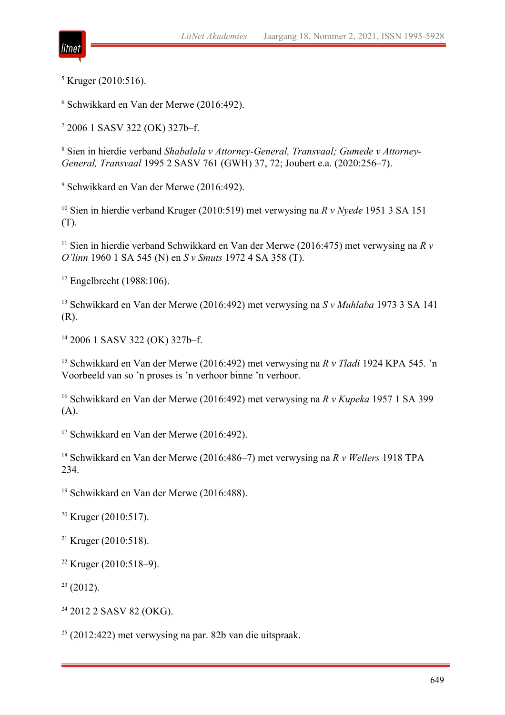

 $<sup>5</sup>$  Kruger (2010:516).</sup>

<sup>6</sup> Schwikkard en Van der Merwe (2016:492).

<sup>7</sup> 2006 1 SASV 322 (OK) 327b–f.

<sup>8</sup> Sien in hierdie verband *Shabalala v Attorney-General, Transvaal; Gumede v Attorney-General, Transvaal* 1995 2 SASV 761 (GWH) 37, 72; Joubert e.a. (2020:256–7).

<sup>9</sup> Schwikkard en Van der Merwe (2016:492).

<sup>10</sup> Sien in hierdie verband Kruger (2010:519) met verwysing na *R v Nyede* 1951 3 SA 151 (T).

<sup>11</sup> Sien in hierdie verband Schwikkard en Van der Merwe (2016:475) met verwysing na *R v O'linn* 1960 1 SA 545 (N) en *S v Smuts* 1972 4 SA 358 (T).

 $12$  Engelbrecht (1988:106).

<sup>13</sup> Schwikkard en Van der Merwe (2016:492) met verwysing na *S v Muhlaba* 1973 3 SA 141 (R).

<sup>14</sup> 2006 1 SASV 322 (OK) 327b–f.

<sup>15</sup> Schwikkard en Van der Merwe (2016:492) met verwysing na *R v Tladi* 1924 KPA 545. 'n Voorbeeld van so 'n proses is 'n verhoor binne 'n verhoor.

<sup>16</sup> Schwikkard en Van der Merwe (2016:492) met verwysing na *R v Kupeka* 1957 1 SA 399 (A).

<sup>17</sup> Schwikkard en Van der Merwe (2016:492).

<sup>18</sup> Schwikkard en Van der Merwe (2016:486–7) met verwysing na *R v Wellers* 1918 TPA 234.

<sup>19</sup> Schwikkard en Van der Merwe (2016:488).

 $20$  Kruger (2010:517).

<sup>21</sup> Kruger (2010:518).

 $22$  Kruger (2010:518–9).

 $23$  (2012).

<sup>24</sup> 2012 2 SASV 82 (OKG).

<sup>25</sup> (2012:422) met verwysing na par. 82b van die uitspraak.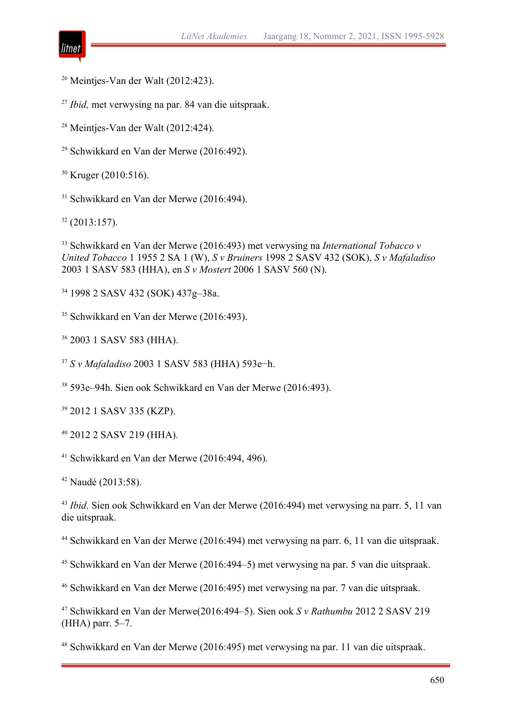

Meinties-Van der Walt (2012:423).

*Ibid,* met verwysing na par. 84 van die uitspraak.

<sup>28</sup> Meintjes-Van der Walt (2012:424).

Schwikkard en Van der Merwe (2016:492).

<sup>30</sup> Kruger (2010:516).

Schwikkard en Van der Merwe (2016:494).

(2013:157).

 Schwikkard en Van der Merwe (2016:493) met verwysing na *International Tobacco v United Tobacco* 1 1955 2 SA 1 (W), *S v Bruiners* 1998 2 SASV 432 (SOK), *S v Mafaladiso* 2003 1 SASV 583 (HHA), en *S v Mostert* 2006 1 SASV 560 (N).

1998 2 SASV 432 (SOK) 437g–38a.

Schwikkard en Van der Merwe (2016:493).

2003 1 SASV 583 (HHA).

*S v Mafaladiso* 2003 1 SASV 583 (HHA) 593e−h.

593e–94h. Sien ook Schwikkard en Van der Merwe (2016:493).

2012 1 SASV 335 (KZP).

2012 2 SASV 219 (HHA).

Schwikkard en Van der Merwe (2016:494, 496).

Naudé (2013:58).

 *Ibid*. Sien ook Schwikkard en Van der Merwe (2016:494) met verwysing na parr. 5, 11 van die uitspraak.

Schwikkard en Van der Merwe (2016:494) met verwysing na parr. 6, 11 van die uitspraak.

Schwikkard en Van der Merwe (2016:494–5) met verwysing na par. 5 van die uitspraak.

Schwikkard en Van der Merwe (2016:495) met verwysing na par. 7 van die uitspraak.

 Schwikkard en Van der Merwe(2016:494–5). Sien ook *S v Rathumbu* 2012 2 SASV 219 (HHA) parr. 5–7.

Schwikkard en Van der Merwe (2016:495) met verwysing na par. 11 van die uitspraak.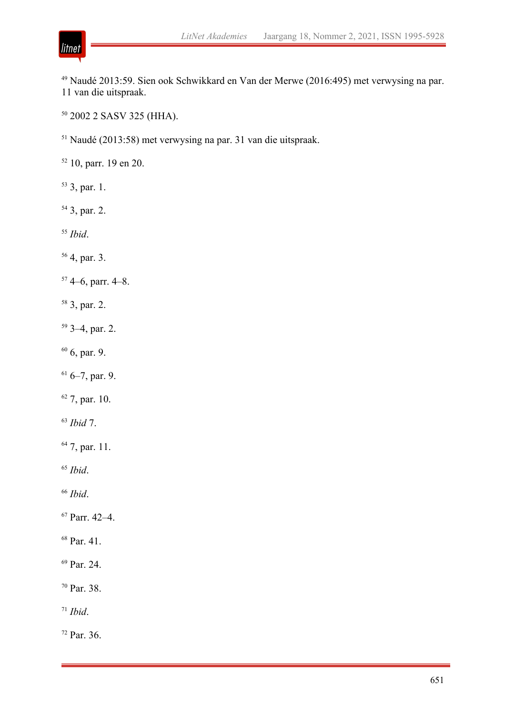

2002 2 SASV 325 (HHA).

Naudé (2013:58) met verwysing na par. 31 van die uitspraak.

10, parr. 19 en 20.

- 3, par. 1.
- 3, par. 2.
- *Ibid*.

litnet

- 4, par. 3.
- 4–6, parr. 4–8.
- 3, par. 2.
- 3–4, par. 2.
- $60,$  par. 9.
- $6-7$ , par. 9.
- 7, par. 10.
- *Ibid* 7.
- 7, par. 11.
- *Ibid*.
- *Ibid*.
- Parr. 42–4.
- Par. 41.
- <sup>69</sup> Par. 24.
- Par. 38.
- *Ibid*.

Par. 36.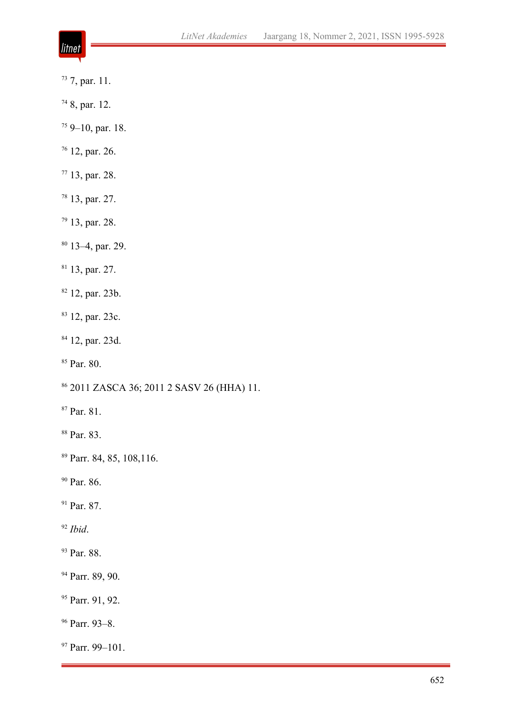- litnet
- 7, par. 11.
- 8, par. 12.
- 9–10, par. 18.
- 12, par. 26.
- 13, par. 28.
- 13, par. 27.
- 13, par. 28.
- 13–4, par. 29.
- 13, par. 27.
- 12, par. 23b.
- <sup>83</sup> 12, par. 23c.
- 12, par. 23d.
- <sup>85</sup> Par. 80.
- 2011 ZASCA 36; 2011 2 SASV 26 (HHA) 11.
- Par. 81.
- Par. 83.
- Parr. 84, 85, 108,116.
- <sup>90</sup> Par. 86.
- <sup>91</sup> Par. 87.
- *Ibid*.
- <sup>93</sup> Par. 88.
- <sup>94</sup> Parr. 89, 90.
- <sup>95</sup> Parr. 91, 92.
- Parr. 93–8.
- Parr. 99–101.